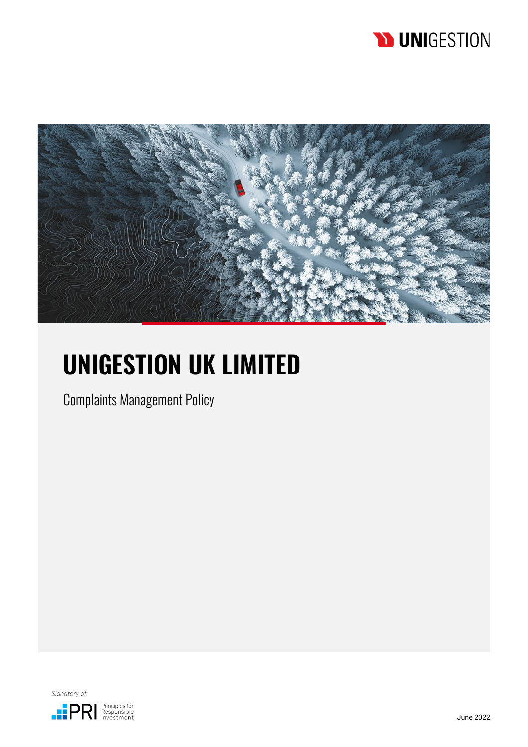## **D UNIGESTION**



# **UNIGESTION UK LIMITED**

Complaints Management Policy

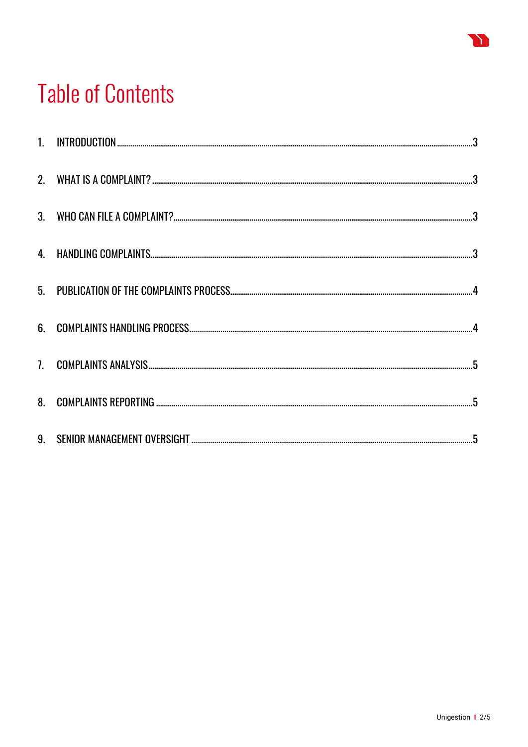# **Table of Contents**

Y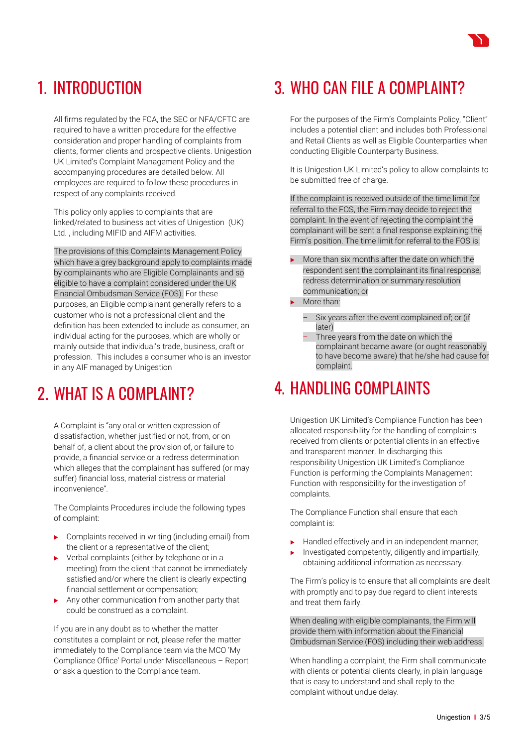#### <span id="page-2-0"></span>1. INTRODUCTION

All firms regulated by the FCA, the SEC or NFA/CFTC are required to have a written procedure for the effective consideration and proper handling of complaints from clients, former clients and prospective clients. Unigestion UK Limited's Complaint Management Policy and the accompanying procedures are detailed below. All employees are required to follow these procedures in respect of any complaints received.

This policy only applies to complaints that are linked/related to business activities of Unigestion (UK) Ltd. , including MIFID and AIFM activities.

The provisions of this Complaints Management Policy which have a grey background apply to complaints made by complainants who are Eligible Complainants and so eligible to have a complaint considered under the UK Financial Ombudsman Service (FOS). For these purposes, an Eligible complainant generally refers to a customer who is not a professional client and the definition has been extended to include as consumer, an individual acting for the purposes, which are wholly or mainly outside that individual's trade, business, craft or profession. This includes a consumer who is an investor in any AIF managed by Unigestion

#### <span id="page-2-1"></span>2. WHAT IS A COMPLAINT?

A Complaint is "any oral or written expression of dissatisfaction, whether justified or not, from, or on behalf of, a client about the provision of, or failure to provide, a financial service or a redress determination which alleges that the complainant has suffered (or may suffer) financial loss, material distress or material inconvenience".

The Complaints Procedures include the following types of complaint:

- Complaints received in writing (including email) from the client or a representative of the client;
- Verbal complaints (either by telephone or in a meeting) from the client that cannot be immediately satisfied and/or where the client is clearly expecting financial settlement or compensation;
- Any other communication from another party that could be construed as a complaint.

If you are in any doubt as to whether the matter constitutes a complaint or not, please refer the matter immediately to the Compliance team via the MCO 'My Compliance Office' Portal under Miscellaneous – Report or ask a question to the Compliance team.

#### <span id="page-2-2"></span>3. WHO CAN FILE A COMPLAINT?

For the purposes of the Firm's Complaints Policy, "Client" includes a potential client and includes both Professional and Retail Clients as well as Eligible Counterparties when conducting Eligible Counterparty Business.

It is Unigestion UK Limited's policy to allow complaints to be submitted free of charge.

If the complaint is received outside of the time limit for referral to the FOS, the Firm may decide to reject the complaint. In the event of rejecting the complaint the complainant will be sent a final response explaining the Firm's position. The time limit for referral to the FOS is:

- More than six months after the date on which the respondent sent the complainant its final response, redress determination or summary resolution communication; or
- More than:
	- Six years after the event complained of; or (if later)
	- Three years from the date on which the complainant became aware (or ought reasonably to have become aware) that he/she had cause for complaint.

#### <span id="page-2-3"></span>4. HANDLING COMPLAINTS

Unigestion UK Limited's Compliance Function has been allocated responsibility for the handling of complaints received from clients or potential clients in an effective and transparent manner. In discharging this responsibility Unigestion UK Limited's Compliance Function is performing the Complaints Management Function with responsibility for the investigation of complaints.

The Compliance Function shall ensure that each complaint is:

- Handled effectively and in an independent manner;
- $\blacktriangleright$  Investigated competently, diligently and impartially, obtaining additional information as necessary.

The Firm's policy is to ensure that all complaints are dealt with promptly and to pay due regard to client interests and treat them fairly.

When dealing with eligible complainants, the Firm will provide them with information about the Financial Ombudsman Service (FOS) including their web address.

When handling a complaint, the Firm shall communicate with clients or potential clients clearly, in plain language that is easy to understand and shall reply to the complaint without undue delay.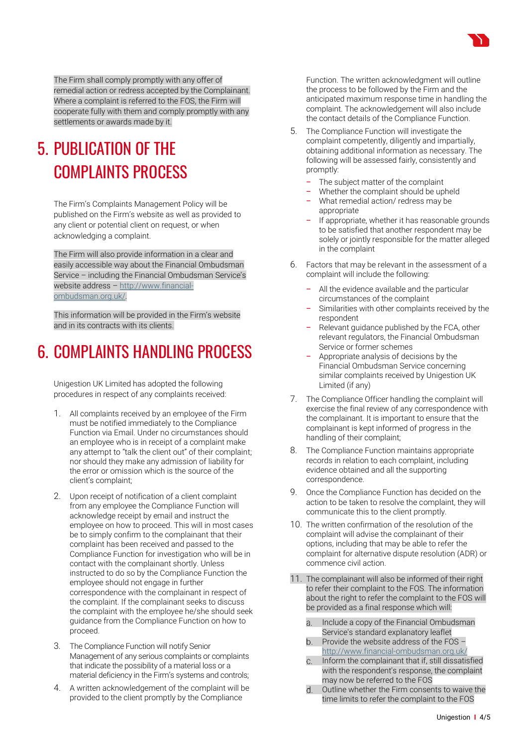The Firm shall comply promptly with any offer of remedial action or redress accepted by the Complainant. Where a complaint is referred to the FOS, the Firm will cooperate fully with them and comply promptly with any settlements or awards made by it.

#### <span id="page-3-0"></span>5. PUBLICATION OF THE COMPLAINTS PROCESS

The Firm's Complaints Management Policy will be published on the Firm's website as well as provided to any client or potential client on request, or when acknowledging a complaint.

The Firm will also provide information in a clear and easily accessible way about the Financial Ombudsman Service – including the Financial Ombudsman Service's website address – [http://www.financial](http://www.financial-ombudsman.org.uk/)[ombudsman.org.uk/.](http://www.financial-ombudsman.org.uk/)

This information will be provided in the Firm's website and in its contracts with its clients.

#### <span id="page-3-1"></span>6. COMPLAINTS HANDLING PROCESS

Unigestion UK Limited has adopted the following procedures in respect of any complaints received:

- 1. All complaints received by an employee of the Firm must be notified immediately to the Compliance Function via Email. Under no circumstances should an employee who is in receipt of a complaint make any attempt to "talk the client out" of their complaint; nor should they make any admission of liability for the error or omission which is the source of the client's complaint;
- 2. Upon receipt of notification of a client complaint from any employee the Compliance Function will acknowledge receipt by email and instruct the employee on how to proceed. This will in most cases be to simply confirm to the complainant that their complaint has been received and passed to the Compliance Function for investigation who will be in contact with the complainant shortly. Unless instructed to do so by the Compliance Function the employee should not engage in further correspondence with the complainant in respect of the complaint. If the complainant seeks to discuss the complaint with the employee he/she should seek guidance from the Compliance Function on how to proceed.
- 3. The Compliance Function will notify Senior Management of any serious complaints or complaints that indicate the possibility of a material loss or a material deficiency in the Firm's systems and controls;
- 4. A written acknowledgement of the complaint will be provided to the client promptly by the Compliance

Function. The written acknowledgment will outline the process to be followed by the Firm and the anticipated maximum response time in handling the complaint. The acknowledgement will also include the contact details of the Compliance Function.

- 5. The Compliance Function will investigate the complaint competently, diligently and impartially, obtaining additional information as necessary. The following will be assessed fairly, consistently and promptly:
	- The subject matter of the complaint
	- − Whether the complaint should be upheld
	- − What remedial action/ redress may be appropriate
	- − If appropriate, whether it has reasonable grounds to be satisfied that another respondent may be solely or jointly responsible for the matter alleged in the complaint
- 6. Factors that may be relevant in the assessment of a complaint will include the following:
	- All the evidence available and the particular circumstances of the complaint
	- Similarities with other complaints received by the respondent
	- Relevant guidance published by the FCA, other relevant regulators, the Financial Ombudsman Service or former schemes
	- − Appropriate analysis of decisions by the Financial Ombudsman Service concerning similar complaints received by Unigestion UK Limited (if any)
- 7. The Compliance Officer handling the complaint will exercise the final review of any correspondence with the complainant. It is important to ensure that the complainant is kept informed of progress in the handling of their complaint;
- 8. The Compliance Function maintains appropriate records in relation to each complaint, including evidence obtained and all the supporting correspondence.
- 9. Once the Compliance Function has decided on the action to be taken to resolve the complaint, they will communicate this to the client promptly.
- 10. The written confirmation of the resolution of the complaint will advise the complainant of their options, including that may be able to refer the complaint for alternative dispute resolution (ADR) or commence civil action.
- 11. The complainant will also be informed of their right to refer their complaint to the FOS. The information about the right to refer the complaint to the FOS will be provided as a final response which will:
	- Include a copy of the Financial Ombudsman  $\overline{a}$ Service's standard explanatory leaflet
	- Provide the website address of the FOS <http://www.financial-ombudsman.org.uk/>
	- Inform the complainant that if, still dissatisfied  $C.$ with the respondent's response, the complaint may now be referred to the FOS
	- Outline whether the Firm consents to waive the time limits to refer the complaint to the FOS